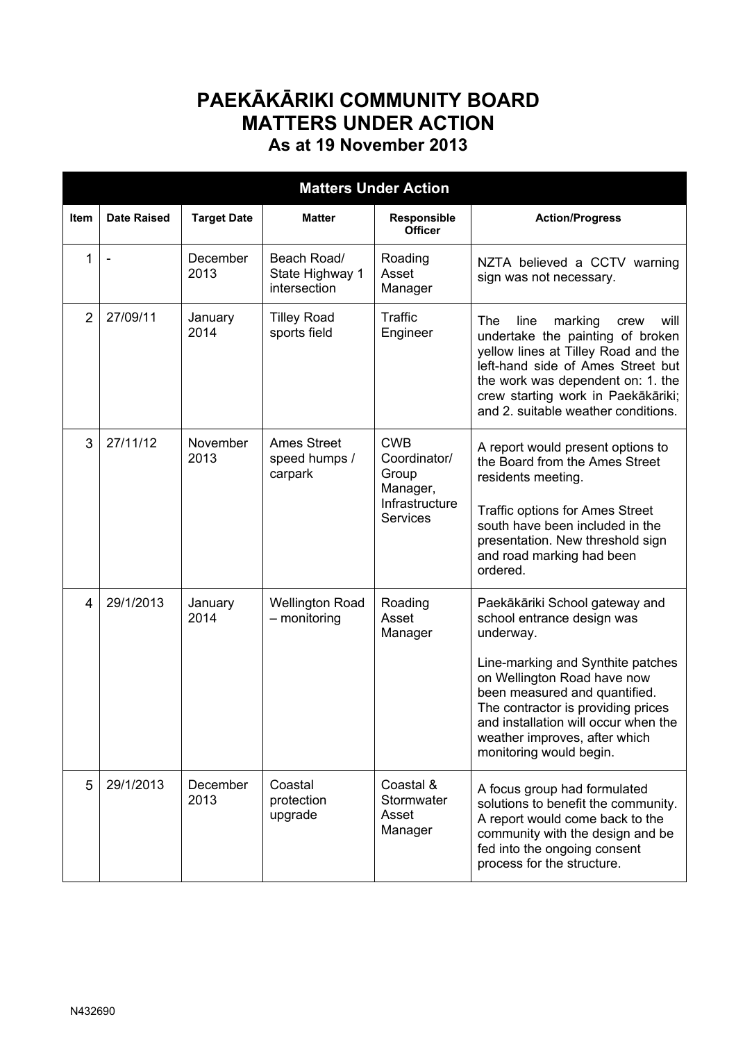## **PAEKĀKĀRIKI COMMUNITY BOARD MATTERS UNDER ACTION As at 19 November 2013**

| <b>Matters Under Action</b> |                    |                    |                                                |                                                                                      |                                                                                                                                                                                                                                                                                                                          |  |  |  |  |  |
|-----------------------------|--------------------|--------------------|------------------------------------------------|--------------------------------------------------------------------------------------|--------------------------------------------------------------------------------------------------------------------------------------------------------------------------------------------------------------------------------------------------------------------------------------------------------------------------|--|--|--|--|--|
| Item                        | <b>Date Raised</b> | <b>Target Date</b> | <b>Matter</b>                                  | Responsible<br><b>Officer</b>                                                        | <b>Action/Progress</b>                                                                                                                                                                                                                                                                                                   |  |  |  |  |  |
| 1                           |                    | December<br>2013   | Beach Road/<br>State Highway 1<br>intersection | Roading<br>Asset<br>Manager                                                          | NZTA believed a CCTV warning<br>sign was not necessary.                                                                                                                                                                                                                                                                  |  |  |  |  |  |
| $\overline{2}$              | 27/09/11           | January<br>2014    | <b>Tilley Road</b><br>sports field             | <b>Traffic</b><br>Engineer                                                           | The<br>line<br>marking<br>will<br>crew<br>undertake the painting of broken<br>yellow lines at Tilley Road and the<br>left-hand side of Ames Street but<br>the work was dependent on: 1. the<br>crew starting work in Paekākāriki;<br>and 2. suitable weather conditions.                                                 |  |  |  |  |  |
| 3                           | 27/11/12           | November<br>2013   | <b>Ames Street</b><br>speed humps /<br>carpark | <b>CWB</b><br>Coordinator/<br>Group<br>Manager,<br>Infrastructure<br><b>Services</b> | A report would present options to<br>the Board from the Ames Street<br>residents meeting.<br><b>Traffic options for Ames Street</b><br>south have been included in the<br>presentation. New threshold sign<br>and road marking had been<br>ordered.                                                                      |  |  |  |  |  |
| 4                           | 29/1/2013          | January<br>2014    | <b>Wellington Road</b><br>- monitoring         | Roading<br>Asset<br>Manager                                                          | Paekākāriki School gateway and<br>school entrance design was<br>underway.<br>Line-marking and Synthite patches<br>on Wellington Road have now<br>been measured and quantified.<br>The contractor is providing prices<br>and installation will occur when the<br>weather improves, after which<br>monitoring would begin. |  |  |  |  |  |
| 5                           | 29/1/2013          | December<br>2013   | Coastal<br>protection<br>upgrade               | Coastal &<br>Stormwater<br>Asset<br>Manager                                          | A focus group had formulated<br>solutions to benefit the community.<br>A report would come back to the<br>community with the design and be<br>fed into the ongoing consent<br>process for the structure.                                                                                                                 |  |  |  |  |  |